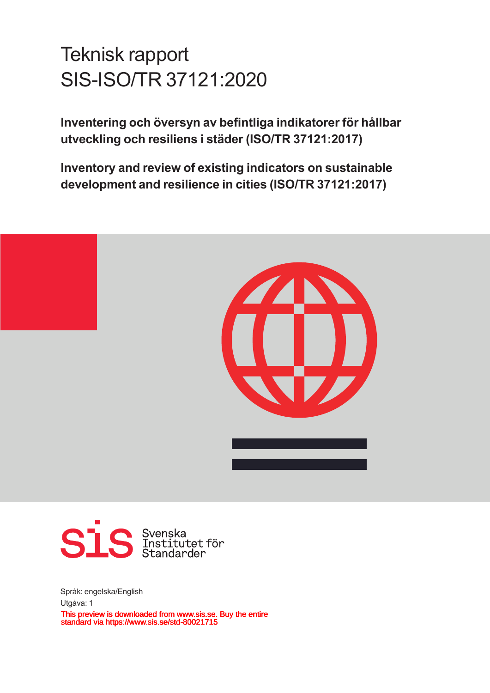Teknisk rapport SIS-ISO/TR 37121:2020

**Inventering och översyn av befintliga indikatorer för hållbar utveckling och resiliens i städer (ISO/TR 37121:2017)**

**Inventory and review of existing indicators on sustainable development and resilience in cities (ISO/TR 37121:2017)**





Språk: engelska/English Utgåva: 1 This preview is downloaded from www.sis.se. Buy the entire standard via https://www.sis.se/std-80021715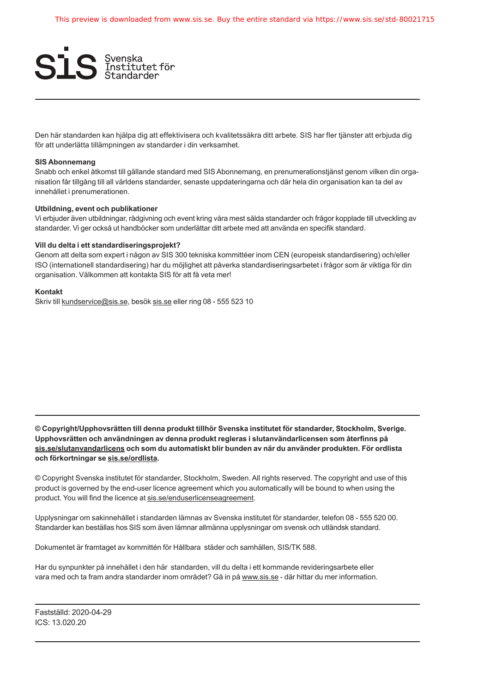

Den här standarden kan hjälpa dig att effektivisera och kvalitetssäkra ditt arbete. SIS har fler tjänster att erbjuda dig för att underlätta tillämpningen av standarder i din verksamhet.

#### **SIS Abonnemang**

Snabb och enkel åtkomst till gällande standard med SIS Abonnemang, en prenumerationstjänst genom vilken din organisation får tillgång till all världens standarder, senaste uppdateringarna och där hela din organisation kan ta del av innehållet i prenumerationen.

#### **Utbildning, event och publikationer**

Vi erbjuder även utbildningar, rådgivning och event kring våra mest sålda standarder och frågor kopplade till utveckling av standarder. Vi ger också ut handböcker som underlättar ditt arbete med att använda en specifik standard.

#### **Vill du delta i ett standardiseringsprojekt?**

Genom att delta som expert i någon av SIS 300 tekniska kommittéer inom CEN (europeisk standardisering) och/eller ISO (internationell standardisering) har du möjlighet att påverka standardiseringsarbetet i frågor som är viktiga för din organisation. Välkommen att kontakta SIS för att få veta mer!

#### **Kontakt**

Skriv till [kundservice@sis.se](mailto:kundservice%40sis.se?subject=kontakt), besök [sis.se](https://www.sis.se) eller ring 08 - 555 523 10

**© Copyright/Upphovsrätten till denna produkt tillhör Svenska institutet för standarder, Stockholm, Sverige. Upphovsrätten och användningen av denna produkt regleras i slutanvändarlicensen som återfinns på [sis.se/slutanvandarlicens](https://www.sis.se/slutanvandarlicens) och som du automatiskt blir bunden av när du använder produkten. För ordlista och förkortningar se [sis.se/ordlista](https://www.sis.se/ordlista).**

© Copyright Svenska institutet för standarder, Stockholm, Sweden. All rights reserved. The copyright and use of this product is governed by the end-user licence agreement which you automatically will be bound to when using the product. You will find the licence at [sis.se/enduserlicenseagreement](https://www.sis.se/enduserlicenseagreement).

Upplysningar om sakinnehållet i standarden lämnas av Svenska institutet för standarder, telefon 08 - 555 520 00. Standarder kan beställas hos SIS som även lämnar allmänna upplysningar om svensk och utländsk standard.

Dokumentet är framtaget av kommittén för Hållbara städer och samhällen, SIS/TK 588.

Har du synpunkter på innehållet i den här standarden, vill du delta i ett kommande revideringsarbete eller vara med och ta fram andra standarder inom området? Gå in på [www.sis.se](https://www.sis.se) - där hittar du mer information.

Fastställd: 2020-04-29 ICS: 13.020.20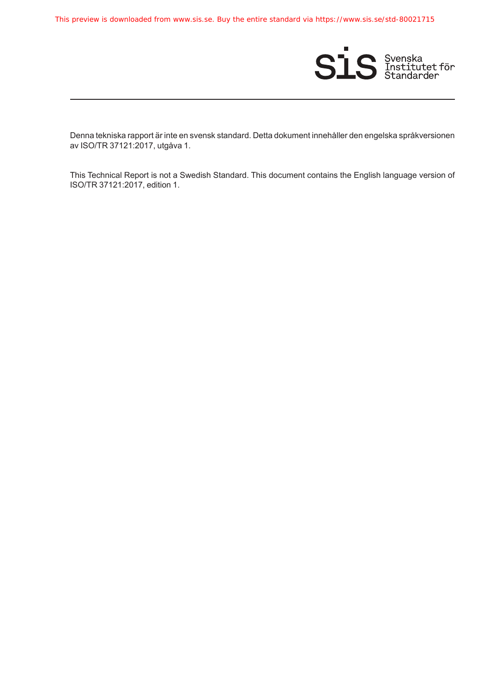

Denna tekniska rapport är inte en svensk standard. Detta dokument innehåller den engelska språkversionen av ISO/TR 37121:2017, utgåva 1.

This Technical Report is not a Swedish Standard. This document contains the English language version of ISO/TR 37121:2017, edition 1.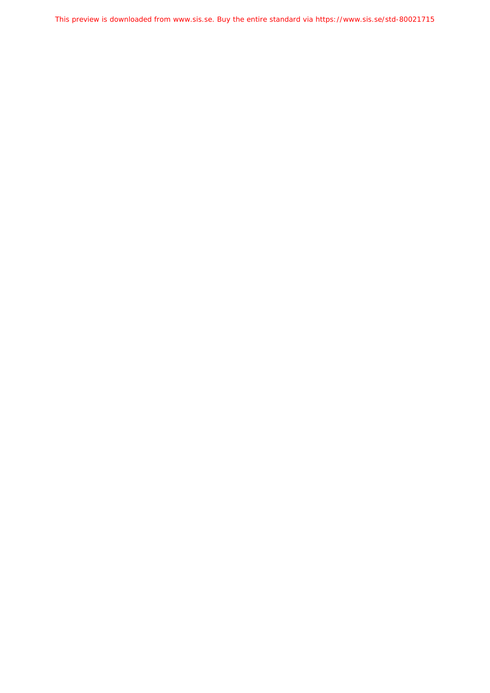This preview is downloaded from www.sis.se. Buy the entire standard via https://www.sis.se/std-80021715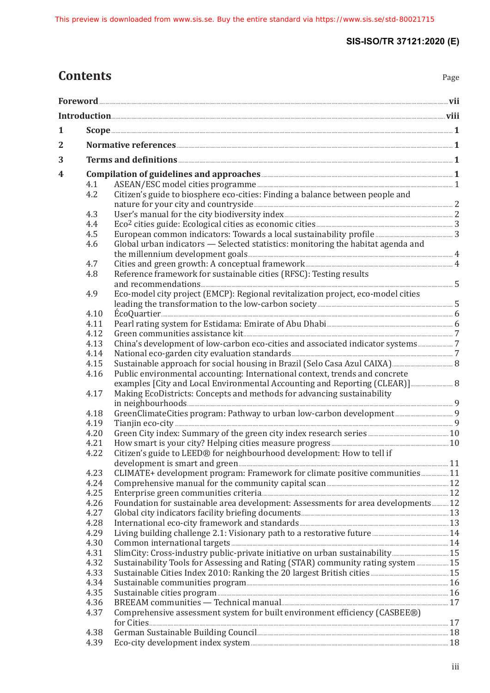# **Contents** Page

| 1 |      |                                                                                                                |  |
|---|------|----------------------------------------------------------------------------------------------------------------|--|
| 2 |      |                                                                                                                |  |
| 3 |      |                                                                                                                |  |
| 4 |      | Compilation of guidelines and approaches <b>Exercise Active 2018</b> 1                                         |  |
|   | 4.1  |                                                                                                                |  |
|   | 4.2  | Citizen's guide to biosphere eco-cities: Finding a balance between people and                                  |  |
|   |      | nature for your city and countryside <b>Election Communities</b> 2                                             |  |
|   | 4.3  |                                                                                                                |  |
|   | 4.4  |                                                                                                                |  |
|   | 4.5  |                                                                                                                |  |
|   | 4.6  | Global urban indicators - Selected statistics: monitoring the habitat agenda and                               |  |
|   | 4.7  |                                                                                                                |  |
|   | 4.8  | Reference framework for sustainable cities (RFSC): Testing results                                             |  |
|   |      |                                                                                                                |  |
|   | 4.9  | Eco-model city project (EMCP): Regional revitalization project, eco-model cities                               |  |
|   |      |                                                                                                                |  |
|   | 4.10 |                                                                                                                |  |
|   | 4.11 |                                                                                                                |  |
|   | 4.12 |                                                                                                                |  |
|   | 4.13 | China's development of low-carbon eco-cities and associated indicator systems7                                 |  |
|   | 4.14 |                                                                                                                |  |
|   | 4.15 |                                                                                                                |  |
|   | 4.16 | Public environmental accounting: International context, trends and concrete                                    |  |
|   |      | examples [City and Local Environmental Accounting and Reporting (CLEAR)] 8                                     |  |
|   | 4.17 | Making EcoDistricts: Concepts and methods for advancing sustainability                                         |  |
|   |      |                                                                                                                |  |
|   | 4.18 |                                                                                                                |  |
|   | 4.19 |                                                                                                                |  |
|   | 4.20 |                                                                                                                |  |
|   | 4.21 |                                                                                                                |  |
|   | 4.22 | Citizen's guide to LEED® for neighbourhood development: How to tell if                                         |  |
|   |      |                                                                                                                |  |
|   | 4.23 | CLIMATE+ development program: Framework for climate positive communities 11                                    |  |
|   | 4.24 |                                                                                                                |  |
|   | 4.25 |                                                                                                                |  |
|   | 4.26 | Foundation for sustainable area development: Assessments for area developments 12                              |  |
|   | 4.27 |                                                                                                                |  |
|   | 4.28 |                                                                                                                |  |
|   | 4.29 |                                                                                                                |  |
|   | 4.30 |                                                                                                                |  |
|   | 4.31 |                                                                                                                |  |
|   | 4.32 | Sustainability Tools for Assessing and Rating (STAR) community rating system  15                               |  |
|   | 4.33 |                                                                                                                |  |
|   | 4.34 |                                                                                                                |  |
|   | 4.35 |                                                                                                                |  |
|   | 4.36 |                                                                                                                |  |
|   | 4.37 | Comprehensive assessment system for built environment efficiency (CASBEE®)                                     |  |
|   | 4.38 | German Sustainable Building Council [1974] [1975] [1976] [1976] [1976] [1976] [1976] [1976] [1976] [1976] [197 |  |
|   | 4.39 |                                                                                                                |  |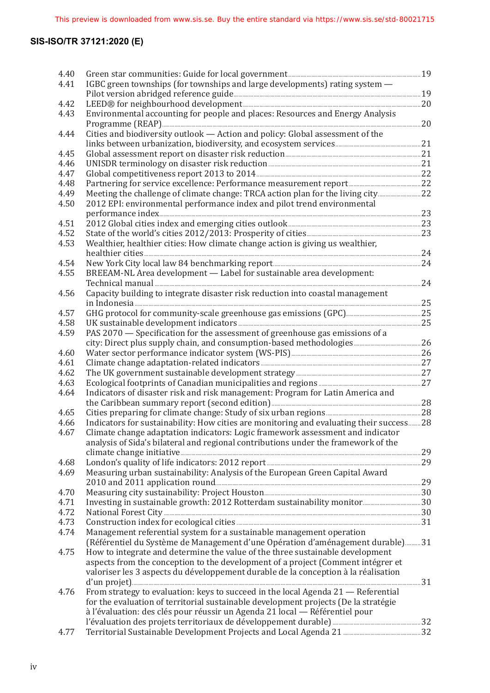| 4.40         |                                                                                          |    |
|--------------|------------------------------------------------------------------------------------------|----|
| 4.41         | IGBC green townships (for townships and large developments) rating system -              |    |
|              |                                                                                          |    |
| 4.42<br>4.43 | Environmental accounting for people and places: Resources and Energy Analysis            |    |
|              |                                                                                          |    |
| 4.44         | Cities and biodiversity outlook - Action and policy: Global assessment of the            |    |
|              |                                                                                          |    |
| 4.45         |                                                                                          |    |
| 4.46         |                                                                                          |    |
| 4.47         |                                                                                          |    |
| 4.48         |                                                                                          |    |
| 4.49         |                                                                                          |    |
| 4.50         | 2012 EPI: environmental performance index and pilot trend environmental                  |    |
|              |                                                                                          |    |
| 4.51         |                                                                                          |    |
| 4.52         |                                                                                          |    |
| 4.53         | Wealthier, healthier cities: How climate change action is giving us wealthier,           |    |
|              |                                                                                          |    |
| 4.54         |                                                                                          |    |
| 4.55         | BREEAM-NL Area development - Label for sustainable area development:                     |    |
|              |                                                                                          | 24 |
| 4.56         | Capacity building to integrate disaster risk reduction into coastal management           |    |
|              |                                                                                          |    |
| 4.57         |                                                                                          |    |
| 4.58         |                                                                                          |    |
| 4.59         | PAS 2070 - Specification for the assessment of greenhouse gas emissions of a             |    |
|              |                                                                                          |    |
| 4.60         |                                                                                          |    |
| 4.61         |                                                                                          |    |
| 4.62         |                                                                                          |    |
| 4.63         |                                                                                          |    |
| 4.64         | Indicators of disaster risk and risk management: Program for Latin America and           |    |
| 4.65         |                                                                                          |    |
| 4.66         | Indicators for sustainability: How cities are monitoring and evaluating their success 28 |    |
| 4.67         | Climate change adaptation indicators: Logic framework assessment and indicator           |    |
|              | analysis of Sida's bilateral and regional contributions under the framework of the       |    |
|              |                                                                                          |    |
| 4.68         |                                                                                          |    |
| 4.69         | Measuring urban sustainability: Analysis of the European Green Capital Award             |    |
|              |                                                                                          |    |
| 4.70         |                                                                                          |    |
| 4.71         |                                                                                          |    |
| 4.72         |                                                                                          |    |
| 4.73         |                                                                                          |    |
| 4.74         | Management referential system for a sustainable management operation                     |    |
|              | (Référentiel du Système de Management d'une Opération d'aménagement durable)31           |    |
| 4.75         | How to integrate and determine the value of the three sustainable development            |    |
|              | aspects from the conception to the development of a project (Comment intégrer et         |    |
|              | valoriser les 3 aspects du développement durable de la conception à la réalisation       |    |
|              |                                                                                          |    |
| 4.76         | From strategy to evaluation: keys to succeed in the local Agenda 21 - Referential        |    |
|              | for the evaluation of territorial sustainable development projects (De la stratégie      |    |
|              | à l'évaluation: des clés pour réussir un Agenda 21 local — Référentiel pour              |    |
|              |                                                                                          |    |
| 4.77         |                                                                                          |    |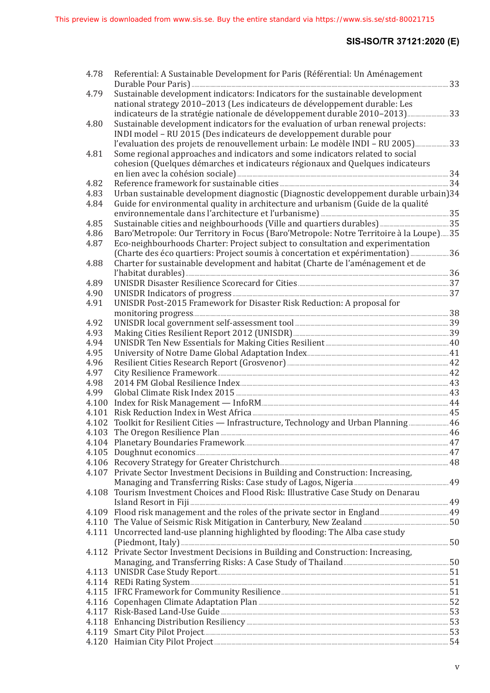| 4.78         | Referential: A Sustainable Development for Paris (Référential: Un Aménagement                                                                                                                                                  | 33 |
|--------------|--------------------------------------------------------------------------------------------------------------------------------------------------------------------------------------------------------------------------------|----|
| 4.79         | Sustainable development indicators: Indicators for the sustainable development<br>national strategy 2010-2013 (Les indicateurs de développement durable: Les                                                                   |    |
|              | indicateurs de la stratégie nationale de développement durable 2010-2013) 33                                                                                                                                                   |    |
| 4.80         | Sustainable development indicators for the evaluation of urban renewal projects:<br>INDI model - RU 2015 (Des indicateurs de developpement durable pour                                                                        |    |
|              | l'evaluation des projets de renouvellement urbain: Le modèle INDI - RU 2005) 33                                                                                                                                                |    |
| 4.81         | Some regional approaches and indicators and some indicators related to social<br>cohesion (Quelques démarches et indicateurs régionaux and Quelques indicateurs                                                                |    |
|              | en lien avec la cohésion sociale) <b>Manual Elisabeth and als any 34</b>                                                                                                                                                       |    |
| 4.82         |                                                                                                                                                                                                                                |    |
| 4.83<br>4.84 | Urban sustainable development diagnostic (Diagnostic developpement durable urbain)34<br>Guide for environmental quality in architecture and urbanism (Guide de la qualité                                                      |    |
|              |                                                                                                                                                                                                                                |    |
| 4.85         |                                                                                                                                                                                                                                |    |
| 4.86         | Baro'Metropole: Our Territory in Focus (Baro'Metropole: Notre Territoire à la Loupe) 35                                                                                                                                        |    |
| 4.87         | Eco-neighbourhoods Charter: Project subject to consultation and experimentation                                                                                                                                                |    |
|              | (Charte des éco quartiers: Project soumis à concertation et expérimentation) 36                                                                                                                                                |    |
| 4.88         | Charter for sustainable development and habitat (Charte de l'aménagement et de                                                                                                                                                 |    |
|              |                                                                                                                                                                                                                                |    |
| 4.89         |                                                                                                                                                                                                                                |    |
| 4.90         |                                                                                                                                                                                                                                |    |
| 4.91         | UNISDR Post-2015 Framework for Disaster Risk Reduction: A proposal for                                                                                                                                                         |    |
|              |                                                                                                                                                                                                                                |    |
| 4.92         |                                                                                                                                                                                                                                |    |
| 4.93         |                                                                                                                                                                                                                                |    |
| 4.94         |                                                                                                                                                                                                                                |    |
| 4.95<br>4.96 |                                                                                                                                                                                                                                |    |
| 4.97         |                                                                                                                                                                                                                                |    |
| 4.98         |                                                                                                                                                                                                                                |    |
| 4.99         |                                                                                                                                                                                                                                |    |
| 4.100        |                                                                                                                                                                                                                                |    |
|              |                                                                                                                                                                                                                                |    |
| 4.102        | Toolkit for Resilient Cities - Infrastructure, Technology and Urban Planning  46                                                                                                                                               |    |
| 4.103        |                                                                                                                                                                                                                                |    |
|              |                                                                                                                                                                                                                                |    |
|              |                                                                                                                                                                                                                                |    |
|              |                                                                                                                                                                                                                                |    |
|              | 4.107 Private Sector Investment Decisions in Building and Construction: Increasing,                                                                                                                                            |    |
| 4.108        | Tourism Investment Choices and Flood Risk: Illustrative Case Study on Denarau                                                                                                                                                  |    |
|              |                                                                                                                                                                                                                                |    |
|              |                                                                                                                                                                                                                                |    |
|              | 4.111 Uncorrected land-use planning highlighted by flooding: The Alba case study                                                                                                                                               |    |
| 4.112        | Private Sector Investment Decisions in Building and Construction: Increasing,                                                                                                                                                  |    |
|              |                                                                                                                                                                                                                                |    |
| 4.113        | UNISDR Case Study Report [100] [100] [100] [100] [100] [100] [100] [100] [100] [100] [100] [100] [100] [100] [100] [100] [100] [100] [100] [100] [100] [100] [100] [100] [100] [100] [100] [100] [100] [100] [100] [100] [100] |    |
|              |                                                                                                                                                                                                                                |    |
|              |                                                                                                                                                                                                                                |    |
|              |                                                                                                                                                                                                                                |    |
|              |                                                                                                                                                                                                                                |    |
|              |                                                                                                                                                                                                                                |    |
|              |                                                                                                                                                                                                                                |    |
|              |                                                                                                                                                                                                                                |    |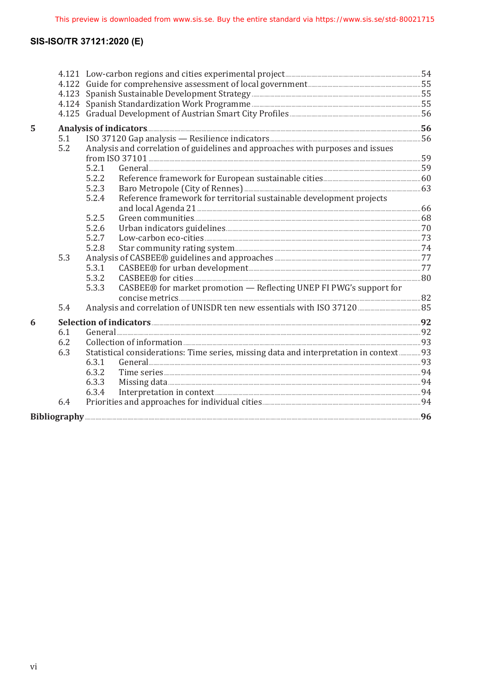| 5 |     |                                                                                         |  |
|---|-----|-----------------------------------------------------------------------------------------|--|
|   | 5.1 |                                                                                         |  |
|   | 5.2 | Analysis and correlation of guidelines and approaches with purposes and issues          |  |
|   |     |                                                                                         |  |
|   |     | 5.2.1                                                                                   |  |
|   |     | 5.2.2                                                                                   |  |
|   |     | 5.2.3                                                                                   |  |
|   |     | Reference framework for territorial sustainable development projects<br>5.2.4           |  |
|   |     |                                                                                         |  |
|   |     | 5.2.5                                                                                   |  |
|   |     | 5.2.6                                                                                   |  |
|   |     | 5.2.7                                                                                   |  |
|   |     | 5.2.8                                                                                   |  |
|   | 5.3 |                                                                                         |  |
|   |     | 5.3.1                                                                                   |  |
|   |     | 5.3.2                                                                                   |  |
|   |     | CASBEE® for market promotion - Reflecting UNEP FI PWG's support for<br>5.3.3            |  |
|   |     |                                                                                         |  |
|   | 5.4 |                                                                                         |  |
| 6 |     |                                                                                         |  |
|   | 6.1 |                                                                                         |  |
|   | 6.2 |                                                                                         |  |
|   | 6.3 | Statistical considerations: Time series, missing data and interpretation in context  93 |  |
|   |     | 6.3.1                                                                                   |  |
|   |     | 6.3.2                                                                                   |  |
|   |     | Missing data 34 Alissing data 5 24 Alisandra 2014<br>6.3.3                              |  |
|   |     | 6.3.4                                                                                   |  |
|   | 6.4 |                                                                                         |  |
|   |     |                                                                                         |  |
|   |     |                                                                                         |  |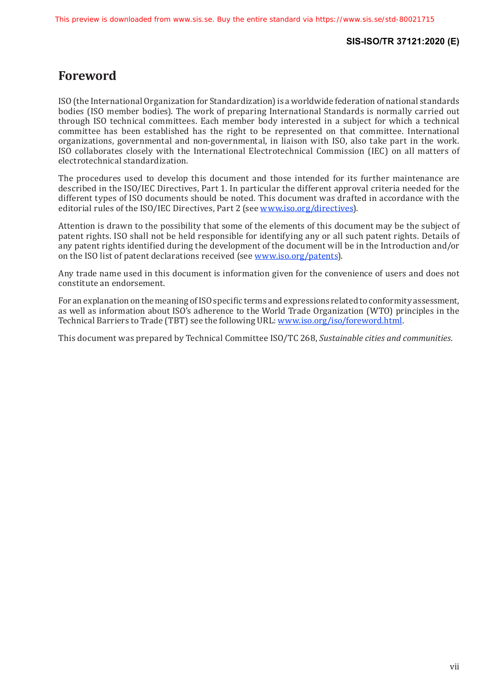## **Foreword**

ISO (the International Organization for Standardization) is a worldwide federation of national standards bodies (ISO member bodies). The work of preparing International Standards is normally carried out through ISO technical committees. Each member body interested in a subject for which a technical committee has been established has the right to be represented on that committee. International organizations, governmental and non-governmental, in liaison with ISO, also take part in the work. ISO collaborates closely with the International Electrotechnical Commission (IEC) on all matters of electrotechnical standardization.

The procedures used to develop this document and those intended for its further maintenance are described in the ISO/IEC Directives, Part 1. In particular the different approval criteria needed for the different types of ISO documents should be noted. This document was drafted in accordance with the editorial rules of the ISO/IEC Directives, Part 2 (see www.iso.org/directives).

Attention is drawn to the possibility that some of the elements of this document may be the subject of patent rights. ISO shall not be held responsible for identifying any or all such patent rights. Details of any patent rights identified during the development of the document will be in the Introduction and/or on the ISO list of patent declarations received (see www.iso.org/patents).

Any trade name used in this document is information given for the convenience of users and does not constitute an endorsement.

For an explanation on the meaning of ISO specific terms and expressions related to conformity assessment, as well as information about ISO's adherence to the World Trade Organization (WTO) principles in the Technical Barriers to Trade (TBT) see the following URL: www.iso.org/iso/foreword.html.

This document was prepared by Technical Committee ISO/TC 268, *Sustainable cities and communities*.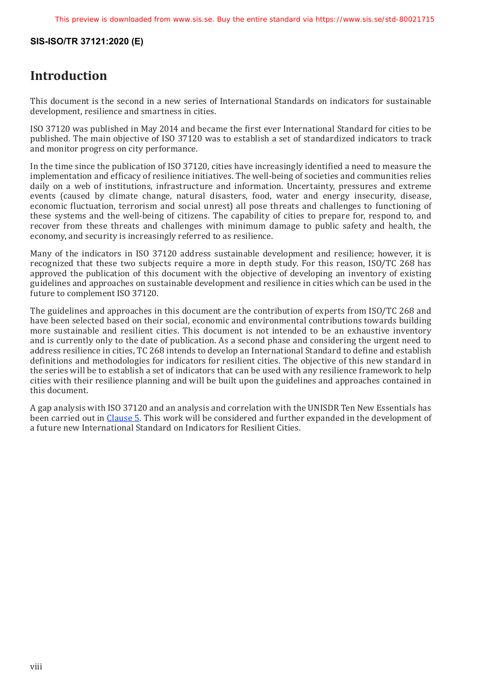# **Introduction**

This document is the second in a new series of International Standards on indicators for sustainable development, resilience and smartness in cities.

ISO 37120 was published in May 2014 and became the first ever International Standard for cities to be published. The main objective of ISO 37120 was to establish a set of standardized indicators to track and monitor progress on city performance.

In the time since the publication of ISO 37120, cities have increasingly identified a need to measure the implementation and efficacy of resilience initiatives. The well-being of societies and communities relies daily on a web of institutions, infrastructure and information. Uncertainty, pressures and extreme events (caused by climate change, natural disasters, food, water and energy insecurity, disease, economic fluctuation, terrorism and social unrest) all pose threats and challenges to functioning of these systems and the well-being of citizens. The capability of cities to prepare for, respond to, and recover from these threats and challenges with minimum damage to public safety and health, the economy, and security is increasingly referred to as resilience.

Many of the indicators in ISO 37120 address sustainable development and resilience; however, it is recognized that these two subjects require a more in depth study. For this reason, ISO/TC 268 has approved the publication of this document with the objective of developing an inventory of existing guidelines and approaches on sustainable development and resilience in cities which can be used in the future to complement ISO 37120.

The guidelines and approaches in this document are the contribution of experts from ISO/TC 268 and have been selected based on their social, economic and environmental contributions towards building more sustainable and resilient cities. This document is not intended to be an exhaustive inventory and is currently only to the date of publication. As a second phase and considering the urgent need to address resilience in cities, TC 268 intends to develop an International Standard to define and establish definitions and methodologies for indicators for resilient cities. The objective of this new standard in the series will be to establish a set of indicators that can be used with any resilience framework to help cities with their resilience planning and will be built upon the guidelines and approaches contained in this document.

A gap analysis with ISO 37120 and an analysis and correlation with the UNISDR Ten New Essentials has been carried out in Clause 5. This work will be considered and further expanded in the development of a future new International Standard on Indicators for Resilient Cities.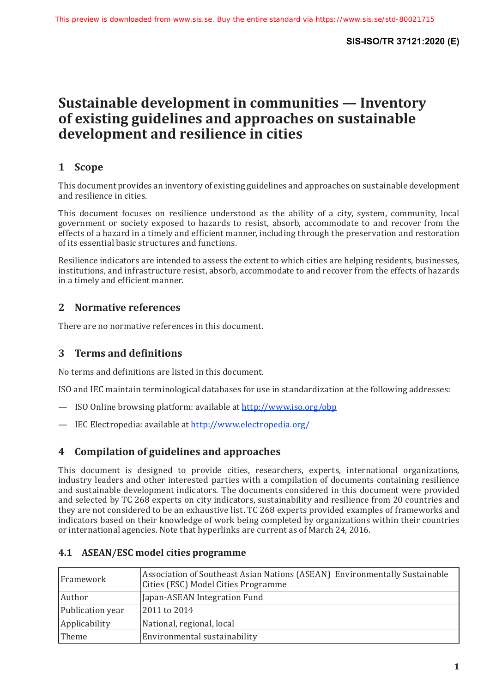# **Sustainable development in communities — Inventory of existing guidelines and approaches on sustainable development and resilience in cities**

## **1 Scope**

This document provides an inventory of existing guidelines and approaches on sustainable development and resilience in cities.

This document focuses on resilience understood as the ability of a city, system, community, local government or society exposed to hazards to resist, absorb, accommodate to and recover from the effects of a hazard in a timely and efficient manner, including through the preservation and restoration of its essential basic structures and functions.

Resilience indicators are intended to assess the extent to which cities are helping residents, businesses, institutions, and infrastructure resist, absorb, accommodate to and recover from the effects of hazards in a timely and efficient manner.

## **2 Normative references**

There are no normative references in this document.

## **3 Terms and definitions**

No terms and definitions are listed in this document.

ISO and IEC maintain terminological databases for use in standardization at the following addresses:

- ISO Online browsing platform: available at http://www.iso.org/obp
- IEC Electropedia: available at http://www.electropedia.org/

## **4 Compilation of guidelines and approaches**

This document is designed to provide cities, researchers, experts, international organizations, industry leaders and other interested parties with a compilation of documents containing resilience and sustainable development indicators. The documents considered in this document were provided and selected by TC 268 experts on city indicators, sustainability and resilience from 20 countries and they are not considered to be an exhaustive list. TC 268 experts provided examples of frameworks and indicators based on their knowledge of work being completed by organizations within their countries or international agencies. Note that hyperlinks are current as of March 24, 2016.

| Framework        | Association of Southeast Asian Nations (ASEAN) Environmentally Sustainable<br>Cities (ESC) Model Cities Programme |
|------------------|-------------------------------------------------------------------------------------------------------------------|
| Author           | Japan-ASEAN Integration Fund                                                                                      |
| Publication year | 2011 to 2014                                                                                                      |
| Applicability    | National, regional, local                                                                                         |
| Theme            | Environmental sustainability                                                                                      |

#### **4.1 ASEAN/ESC model cities programme**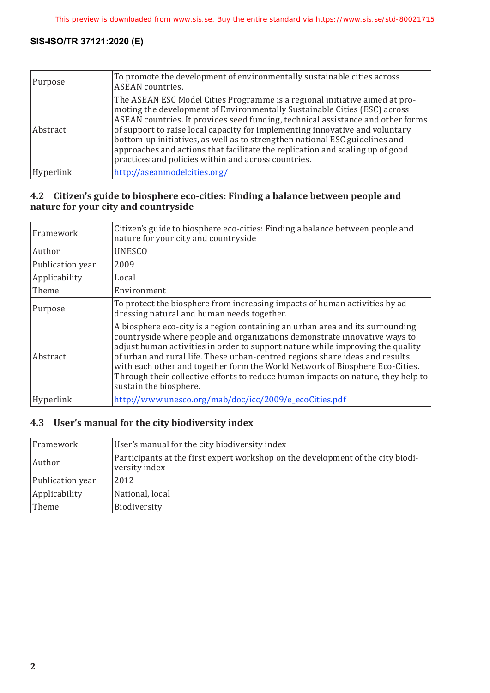| Purpose   | To promote the development of environmentally sustainable cities across<br><b>ASEAN</b> countries.                                                                                                                                                                                                                                                                                                                                                                                                                                                 |
|-----------|----------------------------------------------------------------------------------------------------------------------------------------------------------------------------------------------------------------------------------------------------------------------------------------------------------------------------------------------------------------------------------------------------------------------------------------------------------------------------------------------------------------------------------------------------|
| Abstract  | The ASEAN ESC Model Cities Programme is a regional initiative aimed at pro-<br>moting the development of Environmentally Sustainable Cities (ESC) across<br>ASEAN countries. It provides seed funding, technical assistance and other forms<br>of support to raise local capacity for implementing innovative and voluntary<br>bottom-up initiatives, as well as to strengthen national ESC guidelines and<br>approaches and actions that facilitate the replication and scaling up of good<br>practices and policies within and across countries. |
| Hyperlink | http://aseanmodelcities.org/                                                                                                                                                                                                                                                                                                                                                                                                                                                                                                                       |

### **4.2 Citizen's guide to biosphere eco-cities: Finding a balance between people and nature for your city and countryside**

| Framework        | Citizen's guide to biosphere eco-cities: Finding a balance between people and<br>nature for your city and countryside                                                                                                                                                                                                                                                                                                                                                                                                      |
|------------------|----------------------------------------------------------------------------------------------------------------------------------------------------------------------------------------------------------------------------------------------------------------------------------------------------------------------------------------------------------------------------------------------------------------------------------------------------------------------------------------------------------------------------|
| Author           | <b>UNESCO</b>                                                                                                                                                                                                                                                                                                                                                                                                                                                                                                              |
| Publication year | 2009                                                                                                                                                                                                                                                                                                                                                                                                                                                                                                                       |
| Applicability    | Local                                                                                                                                                                                                                                                                                                                                                                                                                                                                                                                      |
| Theme            | Environment                                                                                                                                                                                                                                                                                                                                                                                                                                                                                                                |
| Purpose          | To protect the biosphere from increasing impacts of human activities by ad-<br>dressing natural and human needs together.                                                                                                                                                                                                                                                                                                                                                                                                  |
| Abstract         | A biosphere eco-city is a region containing an urban area and its surrounding<br>countryside where people and organizations demonstrate innovative ways to<br>adjust human activities in order to support nature while improving the quality<br>of urban and rural life. These urban-centred regions share ideas and results<br>with each other and together form the World Network of Biosphere Eco-Cities.<br>Through their collective efforts to reduce human impacts on nature, they help to<br>sustain the biosphere. |
| Hyperlink        | http://www.unesco.org/mab/doc/icc/2009/e_ecoCities.pdf                                                                                                                                                                                                                                                                                                                                                                                                                                                                     |

## **4.3 User's manual for the city biodiversity index**

| Framework        | User's manual for the city biodiversity index                                                    |
|------------------|--------------------------------------------------------------------------------------------------|
| Author           | Participants at the first expert workshop on the development of the city biodi-<br>versity index |
| Publication year | 2012                                                                                             |
| Applicability    | National, local                                                                                  |
| Theme            | Biodiversity                                                                                     |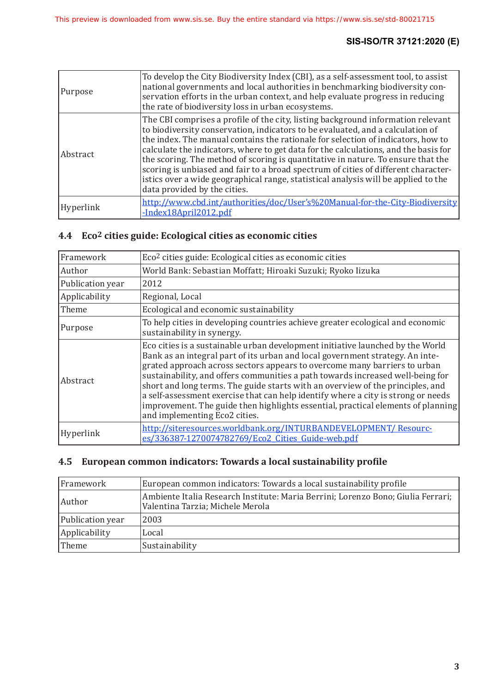| Purpose   | To develop the City Biodiversity Index (CBI), as a self-assessment tool, to assist<br>national governments and local authorities in benchmarking biodiversity con-<br>servation efforts in the urban context, and help evaluate progress in reducing<br>the rate of biodiversity loss in urban ecosystems.                                                                                                                                                                                                                                                                                                                                    |
|-----------|-----------------------------------------------------------------------------------------------------------------------------------------------------------------------------------------------------------------------------------------------------------------------------------------------------------------------------------------------------------------------------------------------------------------------------------------------------------------------------------------------------------------------------------------------------------------------------------------------------------------------------------------------|
| Abstract  | The CBI comprises a profile of the city, listing background information relevant<br>to biodiversity conservation, indicators to be evaluated, and a calculation of<br>the index. The manual contains the rationale for selection of indicators, how to<br>calculate the indicators, where to get data for the calculations, and the basis for<br>the scoring. The method of scoring is quantitative in nature. To ensure that the<br>scoring is unbiased and fair to a broad spectrum of cities of different character-<br>istics over a wide geographical range, statistical analysis will be applied to the<br>data provided by the cities. |
| Hyperlink | http://www.cbd.int/authorities/doc/User's%20Manual-for-the-City-Biodiversity<br>-Index18April2012.pdf                                                                                                                                                                                                                                                                                                                                                                                                                                                                                                                                         |

# **4.4 Eco2 cities guide: Ecological cities as economic cities**

| Framework        | Eco <sup>2</sup> cities guide: Ecological cities as economic cities                                                                                                                                                                                                                                                                                                                                                                                                                                                                                                                                                        |
|------------------|----------------------------------------------------------------------------------------------------------------------------------------------------------------------------------------------------------------------------------------------------------------------------------------------------------------------------------------------------------------------------------------------------------------------------------------------------------------------------------------------------------------------------------------------------------------------------------------------------------------------------|
| Author           | World Bank: Sebastian Moffatt; Hiroaki Suzuki; Ryoko Iizuka                                                                                                                                                                                                                                                                                                                                                                                                                                                                                                                                                                |
| Publication year | 2012                                                                                                                                                                                                                                                                                                                                                                                                                                                                                                                                                                                                                       |
| Applicability    | Regional, Local                                                                                                                                                                                                                                                                                                                                                                                                                                                                                                                                                                                                            |
| Theme            | Ecological and economic sustainability                                                                                                                                                                                                                                                                                                                                                                                                                                                                                                                                                                                     |
| Purpose          | To help cities in developing countries achieve greater ecological and economic<br>sustainability in synergy.                                                                                                                                                                                                                                                                                                                                                                                                                                                                                                               |
| Abstract         | Eco cities is a sustainable urban development initiative launched by the World<br>Bank as an integral part of its urban and local government strategy. An inte-<br>grated approach across sectors appears to overcome many barriers to urban<br>sustainability, and offers communities a path towards increased well-being for<br>short and long terms. The guide starts with an overview of the principles, and<br>a self-assessment exercise that can help identify where a city is strong or needs<br>improvement. The guide then highlights essential, practical elements of planning<br>and implementing Eco2 cities. |
| Hyperlink        | http://siteresources.worldbank.org/INTURBANDEVELOPMENT/Resourc-<br>es/336387-1270074782769/Eco2_Cities_Guide-web.pdf                                                                                                                                                                                                                                                                                                                                                                                                                                                                                                       |

## **4.5 European common indicators: Towards a local sustainability profile**

| Framework        | European common indicators: Towards a local sustainability profile                                                   |
|------------------|----------------------------------------------------------------------------------------------------------------------|
| Author           | Ambiente Italia Research Institute: Maria Berrini; Lorenzo Bono; Giulia Ferrari;<br>Valentina Tarzia; Michele Merola |
| Publication year | 2003                                                                                                                 |
| Applicability    | Local                                                                                                                |
| Theme            | Sustainability                                                                                                       |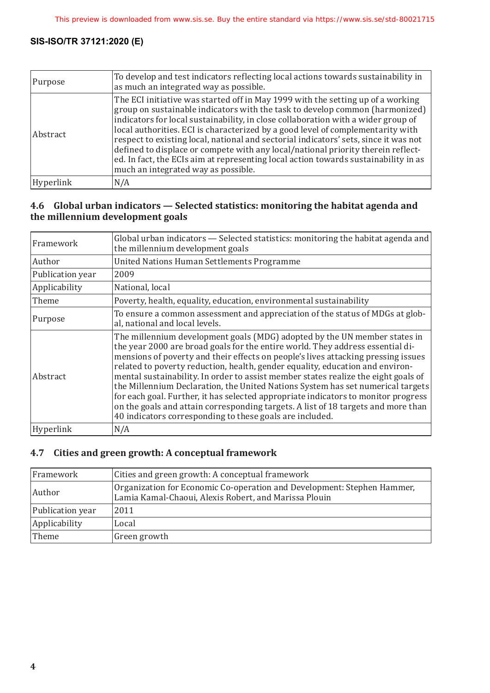| Purpose   | To develop and test indicators reflecting local actions towards sustainability in<br>as much an integrated way as possible.                                                                                                                                                                                                                                                                                                                                                                                                                                                                                                                       |
|-----------|---------------------------------------------------------------------------------------------------------------------------------------------------------------------------------------------------------------------------------------------------------------------------------------------------------------------------------------------------------------------------------------------------------------------------------------------------------------------------------------------------------------------------------------------------------------------------------------------------------------------------------------------------|
| Abstract  | The ECI initiative was started off in May 1999 with the setting up of a working<br>group on sustainable indicators with the task to develop common (harmonized)<br>indicators for local sustainability, in close collaboration with a wider group of<br>local authorities. ECI is characterized by a good level of complementarity with<br>respect to existing local, national and sectorial indicators' sets, since it was not<br>defined to displace or compete with any local/national priority therein reflect-<br>ed. In fact, the ECIs aim at representing local action towards sustainability in as<br>much an integrated way as possible. |
| Hyperlink | N/A                                                                                                                                                                                                                                                                                                                                                                                                                                                                                                                                                                                                                                               |

### **4.6 Global urban indicators — Selected statistics: monitoring the habitat agenda and the millennium development goals**

| Framework        | Global urban indicators — Selected statistics: monitoring the habitat agenda and<br>the millennium development goals                                                                                                                                                                                                                                                                                                                                                                                                                                                                                                                                                                                                                              |
|------------------|---------------------------------------------------------------------------------------------------------------------------------------------------------------------------------------------------------------------------------------------------------------------------------------------------------------------------------------------------------------------------------------------------------------------------------------------------------------------------------------------------------------------------------------------------------------------------------------------------------------------------------------------------------------------------------------------------------------------------------------------------|
| Author           | United Nations Human Settlements Programme                                                                                                                                                                                                                                                                                                                                                                                                                                                                                                                                                                                                                                                                                                        |
| Publication year | 2009                                                                                                                                                                                                                                                                                                                                                                                                                                                                                                                                                                                                                                                                                                                                              |
| Applicability    | National, local                                                                                                                                                                                                                                                                                                                                                                                                                                                                                                                                                                                                                                                                                                                                   |
| Theme            | Poverty, health, equality, education, environmental sustainability                                                                                                                                                                                                                                                                                                                                                                                                                                                                                                                                                                                                                                                                                |
| Purpose          | To ensure a common assessment and appreciation of the status of MDGs at glob-<br>al, national and local levels.                                                                                                                                                                                                                                                                                                                                                                                                                                                                                                                                                                                                                                   |
| Abstract         | The millennium development goals (MDG) adopted by the UN member states in<br>the year 2000 are broad goals for the entire world. They address essential di-<br>mensions of poverty and their effects on people's lives attacking pressing issues<br>related to poverty reduction, health, gender equality, education and environ-<br>mental sustainability. In order to assist member states realize the eight goals of<br>the Millennium Declaration, the United Nations System has set numerical targets<br>for each goal. Further, it has selected appropriate indicators to monitor progress<br>on the goals and attain corresponding targets. A list of 18 targets and more than<br>40 indicators corresponding to these goals are included. |
| Hyperlink        | N/A                                                                                                                                                                                                                                                                                                                                                                                                                                                                                                                                                                                                                                                                                                                                               |

## **4.7 Cities and green growth: A conceptual framework**

| Framework        | Cities and green growth: A conceptual framework                                                                                  |
|------------------|----------------------------------------------------------------------------------------------------------------------------------|
| Author           | Organization for Economic Co-operation and Development: Stephen Hammer,<br>Lamia Kamal-Chaoui, Alexis Robert, and Marissa Plouin |
| Publication year | 2011                                                                                                                             |
| Applicability    | Local                                                                                                                            |
| Theme            | Green growth                                                                                                                     |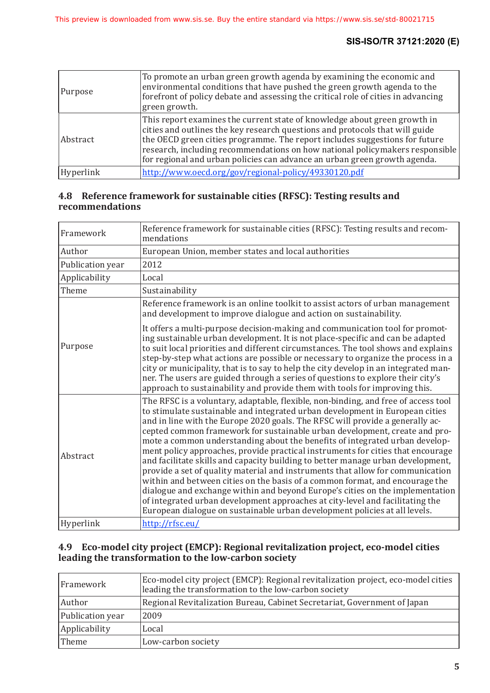| Purpose   | To promote an urban green growth agenda by examining the economic and<br>environmental conditions that have pushed the green growth agenda to the<br>forefront of policy debate and assessing the critical role of cities in advancing<br>green growth.                                                                                                                                               |
|-----------|-------------------------------------------------------------------------------------------------------------------------------------------------------------------------------------------------------------------------------------------------------------------------------------------------------------------------------------------------------------------------------------------------------|
| Abstract  | This report examines the current state of knowledge about green growth in<br>cities and outlines the key research questions and protocols that will guide<br>the OECD green cities programme. The report includes suggestions for future<br>research, including recommendations on how national policymakers responsible<br>for regional and urban policies can advance an urban green growth agenda. |
| Hyperlink | http://www.oecd.org/gov/regional-policy/49330120.pdf                                                                                                                                                                                                                                                                                                                                                  |

### **4.8 Reference framework for sustainable cities (RFSC): Testing results and recommendations**

| Framework        | Reference framework for sustainable cities (RFSC): Testing results and recom-<br>mendations                                                                                                                                                                                                                                                                                                                                                                                                                                                                                                                                                                                                                                                                                                                                                                                                                                                                                                              |
|------------------|----------------------------------------------------------------------------------------------------------------------------------------------------------------------------------------------------------------------------------------------------------------------------------------------------------------------------------------------------------------------------------------------------------------------------------------------------------------------------------------------------------------------------------------------------------------------------------------------------------------------------------------------------------------------------------------------------------------------------------------------------------------------------------------------------------------------------------------------------------------------------------------------------------------------------------------------------------------------------------------------------------|
| Author           | European Union, member states and local authorities                                                                                                                                                                                                                                                                                                                                                                                                                                                                                                                                                                                                                                                                                                                                                                                                                                                                                                                                                      |
| Publication year | 2012                                                                                                                                                                                                                                                                                                                                                                                                                                                                                                                                                                                                                                                                                                                                                                                                                                                                                                                                                                                                     |
| Applicability    | Local                                                                                                                                                                                                                                                                                                                                                                                                                                                                                                                                                                                                                                                                                                                                                                                                                                                                                                                                                                                                    |
| Theme            | Sustainability                                                                                                                                                                                                                                                                                                                                                                                                                                                                                                                                                                                                                                                                                                                                                                                                                                                                                                                                                                                           |
| Purpose          | Reference framework is an online toolkit to assist actors of urban management<br>and development to improve dialogue and action on sustainability.                                                                                                                                                                                                                                                                                                                                                                                                                                                                                                                                                                                                                                                                                                                                                                                                                                                       |
|                  | It offers a multi-purpose decision-making and communication tool for promot-<br>ing sustainable urban development. It is not place-specific and can be adapted<br>to suit local priorities and different circumstances. The tool shows and explains<br>step-by-step what actions are possible or necessary to organize the process in a<br>city or municipality, that is to say to help the city develop in an integrated man-<br>ner. The users are guided through a series of questions to explore their city's<br>approach to sustainability and provide them with tools for improving this.                                                                                                                                                                                                                                                                                                                                                                                                          |
| Abstract         | The RFSC is a voluntary, adaptable, flexible, non-binding, and free of access tool<br>to stimulate sustainable and integrated urban development in European cities<br>and in line with the Europe 2020 goals. The RFSC will provide a generally ac-<br>cepted common framework for sustainable urban development, create and pro-<br>mote a common understanding about the benefits of integrated urban develop-<br>ment policy approaches, provide practical instruments for cities that encourage<br>and facilitate skills and capacity building to better manage urban development,<br>provide a set of quality material and instruments that allow for communication<br>within and between cities on the basis of a common format, and encourage the<br>dialogue and exchange within and beyond Europe's cities on the implementation<br>of integrated urban development approaches at city-level and facilitating the<br>European dialogue on sustainable urban development policies at all levels. |
| Hyperlink        | http://rfsc.eu/                                                                                                                                                                                                                                                                                                                                                                                                                                                                                                                                                                                                                                                                                                                                                                                                                                                                                                                                                                                          |

### **4.9 Eco-model city project (EMCP): Regional revitalization project, eco-model cities leading the transformation to the low-carbon society**

| Framework        | Eco-model city project (EMCP): Regional revitalization project, eco-model cities<br>leading the transformation to the low-carbon society |
|------------------|------------------------------------------------------------------------------------------------------------------------------------------|
| Author           | Regional Revitalization Bureau, Cabinet Secretariat, Government of Japan                                                                 |
| Publication year | 2009                                                                                                                                     |
| Applicability    | Local                                                                                                                                    |
| Theme            | Low-carbon society                                                                                                                       |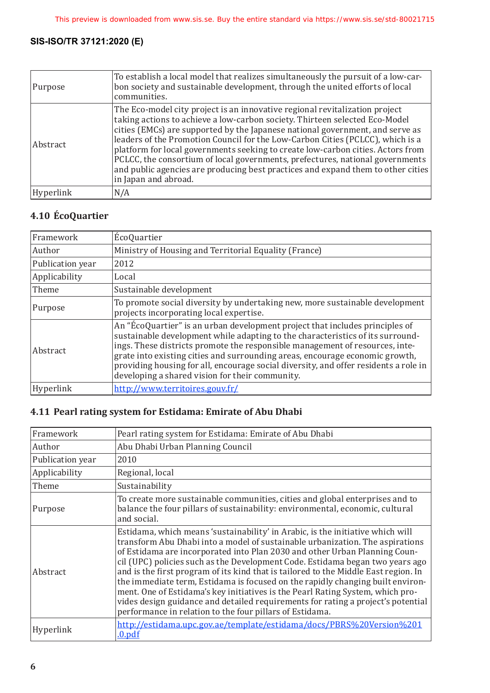| Purpose   | To establish a local model that realizes simultaneously the pursuit of a low-car-<br>bon society and sustainable development, through the united efforts of local<br>communities.                                                                                                                                                                                                                                                                                                                                                                                                                             |
|-----------|---------------------------------------------------------------------------------------------------------------------------------------------------------------------------------------------------------------------------------------------------------------------------------------------------------------------------------------------------------------------------------------------------------------------------------------------------------------------------------------------------------------------------------------------------------------------------------------------------------------|
| Abstract  | The Eco-model city project is an innovative regional revitalization project<br>taking actions to achieve a low-carbon society. Thirteen selected Eco-Model<br>cities (EMCs) are supported by the Japanese national government, and serve as<br>leaders of the Promotion Council for the Low-Carbon Cities (PCLCC), which is a<br>platform for local governments seeking to create low-carbon cities. Actors from<br>PCLCC, the consortium of local governments, prefectures, national governments<br>and public agencies are producing best practices and expand them to other cities<br>in Japan and abroad. |
| Hyperlink | N/A                                                                                                                                                                                                                                                                                                                                                                                                                                                                                                                                                                                                           |

## **4.10 ÉcoQuartier**

| Framework        | <b>ÉcoQuartier</b>                                                                                                                                                                                                                                                                                                                                                                                                                                                        |
|------------------|---------------------------------------------------------------------------------------------------------------------------------------------------------------------------------------------------------------------------------------------------------------------------------------------------------------------------------------------------------------------------------------------------------------------------------------------------------------------------|
| Author           | Ministry of Housing and Territorial Equality (France)                                                                                                                                                                                                                                                                                                                                                                                                                     |
| Publication year | 2012                                                                                                                                                                                                                                                                                                                                                                                                                                                                      |
| Applicability    | Local                                                                                                                                                                                                                                                                                                                                                                                                                                                                     |
| Theme            | Sustainable development                                                                                                                                                                                                                                                                                                                                                                                                                                                   |
| Purpose          | To promote social diversity by undertaking new, more sustainable development<br>projects incorporating local expertise.                                                                                                                                                                                                                                                                                                                                                   |
| Abstract         | An "EcoQuartier" is an urban development project that includes principles of<br>sustainable development while adapting to the characteristics of its surround-<br>ings. These districts promote the responsible management of resources, inte-<br>grate into existing cities and surrounding areas, encourage economic growth,<br>providing housing for all, encourage social diversity, and offer residents a role in<br>developing a shared vision for their community. |
| Hyperlink        | http://www.territoires.gouv.fr/                                                                                                                                                                                                                                                                                                                                                                                                                                           |

## **4.11 Pearl rating system for Estidama: Emirate of Abu Dhabi**

| Framework        | Pearl rating system for Estidama: Emirate of Abu Dhabi                                                                                                                                                                                                                                                                                                                                                                                                                                                                                                                                                                                                                                                                                    |
|------------------|-------------------------------------------------------------------------------------------------------------------------------------------------------------------------------------------------------------------------------------------------------------------------------------------------------------------------------------------------------------------------------------------------------------------------------------------------------------------------------------------------------------------------------------------------------------------------------------------------------------------------------------------------------------------------------------------------------------------------------------------|
| Author           | Abu Dhabi Urban Planning Council                                                                                                                                                                                                                                                                                                                                                                                                                                                                                                                                                                                                                                                                                                          |
| Publication year | 2010                                                                                                                                                                                                                                                                                                                                                                                                                                                                                                                                                                                                                                                                                                                                      |
| Applicability    | Regional, local                                                                                                                                                                                                                                                                                                                                                                                                                                                                                                                                                                                                                                                                                                                           |
| Theme            | Sustainability                                                                                                                                                                                                                                                                                                                                                                                                                                                                                                                                                                                                                                                                                                                            |
| Purpose          | To create more sustainable communities, cities and global enterprises and to<br>balance the four pillars of sustainability: environmental, economic, cultural<br>and social.                                                                                                                                                                                                                                                                                                                                                                                                                                                                                                                                                              |
| Abstract         | Estidama, which means 'sustainability' in Arabic, is the initiative which will<br>transform Abu Dhabi into a model of sustainable urbanization. The aspirations<br>of Estidama are incorporated into Plan 2030 and other Urban Planning Coun-<br>cil (UPC) policies such as the Development Code. Estidama began two years ago<br>and is the first program of its kind that is tailored to the Middle East region. In<br>the immediate term, Estidama is focused on the rapidly changing built environ-<br>ment. One of Estidama's key initiatives is the Pearl Rating System, which pro-<br>vides design guidance and detailed requirements for rating a project's potential<br>performance in relation to the four pillars of Estidama. |
| Hyperlink        | http://estidama.upc.gov.ae/template/estidama/docs/PBRS%20Version%201<br><u>.0.pdf</u>                                                                                                                                                                                                                                                                                                                                                                                                                                                                                                                                                                                                                                                     |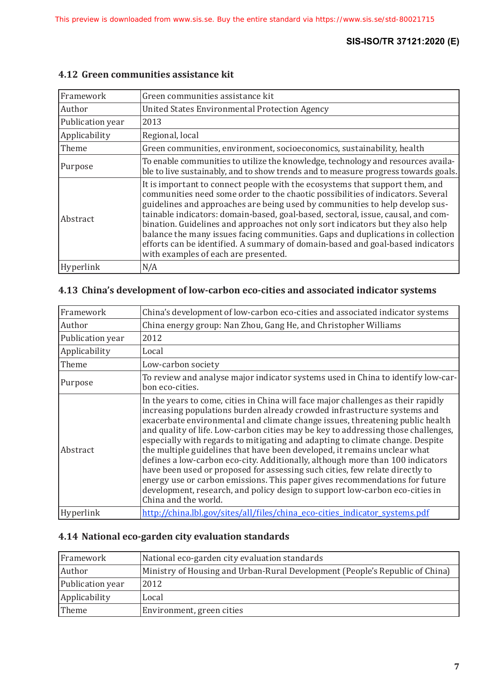| Framework        | Green communities assistance kit                                                                                                                                                                                                                                                                                                                                                                                                                                                                                                                                                                                                    |
|------------------|-------------------------------------------------------------------------------------------------------------------------------------------------------------------------------------------------------------------------------------------------------------------------------------------------------------------------------------------------------------------------------------------------------------------------------------------------------------------------------------------------------------------------------------------------------------------------------------------------------------------------------------|
| Author           | United States Environmental Protection Agency                                                                                                                                                                                                                                                                                                                                                                                                                                                                                                                                                                                       |
| Publication year | 2013                                                                                                                                                                                                                                                                                                                                                                                                                                                                                                                                                                                                                                |
| Applicability    | Regional, local                                                                                                                                                                                                                                                                                                                                                                                                                                                                                                                                                                                                                     |
| Theme            | Green communities, environment, socioeconomics, sustainability, health                                                                                                                                                                                                                                                                                                                                                                                                                                                                                                                                                              |
| Purpose          | To enable communities to utilize the knowledge, technology and resources availa-<br>ble to live sustainably, and to show trends and to measure progress towards goals.                                                                                                                                                                                                                                                                                                                                                                                                                                                              |
| Abstract         | It is important to connect people with the ecosystems that support them, and<br>communities need some order to the chaotic possibilities of indicators. Several<br>guidelines and approaches are being used by communities to help develop sus-<br>tainable indicators: domain-based, goal-based, sectoral, issue, causal, and com-<br>bination. Guidelines and approaches not only sort indicators but they also help<br>balance the many issues facing communities. Gaps and duplications in collection<br>efforts can be identified. A summary of domain-based and goal-based indicators<br>with examples of each are presented. |
| Hyperlink        | N/A                                                                                                                                                                                                                                                                                                                                                                                                                                                                                                                                                                                                                                 |

### **4.12 Green communities assistance kit**

## **4.13 China's development of low-carbon eco-cities and associated indicator systems**

| Framework        | China's development of low-carbon eco-cities and associated indicator systems                                                                                                                                                                                                                                                                                                                                                                                                                                                                                                                                                                                                                                                                                                                                                                              |
|------------------|------------------------------------------------------------------------------------------------------------------------------------------------------------------------------------------------------------------------------------------------------------------------------------------------------------------------------------------------------------------------------------------------------------------------------------------------------------------------------------------------------------------------------------------------------------------------------------------------------------------------------------------------------------------------------------------------------------------------------------------------------------------------------------------------------------------------------------------------------------|
| Author           | China energy group: Nan Zhou, Gang He, and Christopher Williams                                                                                                                                                                                                                                                                                                                                                                                                                                                                                                                                                                                                                                                                                                                                                                                            |
| Publication year | 2012                                                                                                                                                                                                                                                                                                                                                                                                                                                                                                                                                                                                                                                                                                                                                                                                                                                       |
| Applicability    | Local                                                                                                                                                                                                                                                                                                                                                                                                                                                                                                                                                                                                                                                                                                                                                                                                                                                      |
| Theme            | Low-carbon society                                                                                                                                                                                                                                                                                                                                                                                                                                                                                                                                                                                                                                                                                                                                                                                                                                         |
| Purpose          | To review and analyse major indicator systems used in China to identify low-car-<br>bon eco-cities.                                                                                                                                                                                                                                                                                                                                                                                                                                                                                                                                                                                                                                                                                                                                                        |
| Abstract         | In the years to come, cities in China will face major challenges as their rapidly<br>increasing populations burden already crowded infrastructure systems and<br>exacerbate environmental and climate change issues, threatening public health<br>and quality of life. Low-carbon cities may be key to addressing those challenges,<br>especially with regards to mitigating and adapting to climate change. Despite<br>the multiple guidelines that have been developed, it remains unclear what<br>defines a low-carbon eco-city. Additionally, although more than 100 indicators<br>have been used or proposed for assessing such cities, few relate directly to<br>energy use or carbon emissions. This paper gives recommendations for future<br>development, research, and policy design to support low-carbon eco-cities in<br>China and the world. |
| Hyperlink        | http://china.lbl.gov/sites/all/files/china_eco-cities_indicator_systems.pdf                                                                                                                                                                                                                                                                                                                                                                                                                                                                                                                                                                                                                                                                                                                                                                                |

## **4.14 National eco-garden city evaluation standards**

| Framework        | National eco-garden city evaluation standards                                |
|------------------|------------------------------------------------------------------------------|
| Author           | Ministry of Housing and Urban-Rural Development (People's Republic of China) |
| Publication year | 2012                                                                         |
| Applicability    | Local                                                                        |
| Theme            | Environment, green cities                                                    |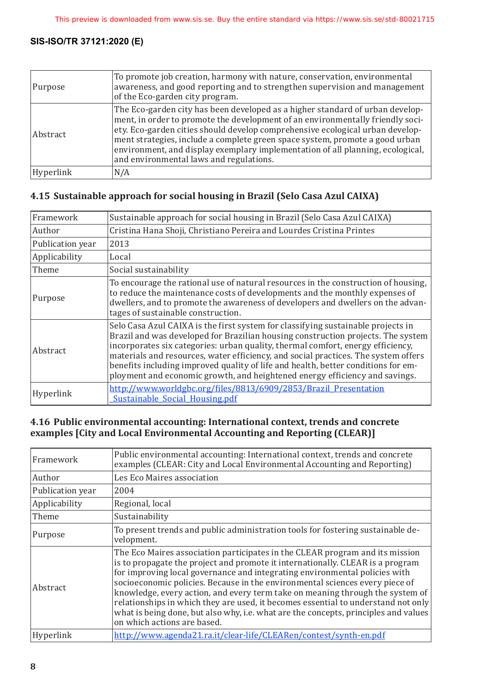| Purpose   | To promote job creation, harmony with nature, conservation, environmental<br>awareness, and good reporting and to strengthen supervision and management<br>of the Eco-garden city program.                                                                                                                                                                                                                                                                    |
|-----------|---------------------------------------------------------------------------------------------------------------------------------------------------------------------------------------------------------------------------------------------------------------------------------------------------------------------------------------------------------------------------------------------------------------------------------------------------------------|
| Abstract  | The Eco-garden city has been developed as a higher standard of urban develop-<br>ment, in order to promote the development of an environmentally friendly soci-<br>ety. Eco-garden cities should develop comprehensive ecological urban develop-<br>ment strategies, include a complete green space system, promote a good urban<br>environment, and display exemplary implementation of all planning, ecological,<br>and environmental laws and regulations. |
| Hyperlink | N/A                                                                                                                                                                                                                                                                                                                                                                                                                                                           |

## **4.15 Sustainable approach for social housing in Brazil (Selo Casa Azul CAIXA)**

| Framework        | Sustainable approach for social housing in Brazil (Selo Casa Azul CAIXA)                                                                                                                                                                                                                                                                                                                                                                                                                                          |
|------------------|-------------------------------------------------------------------------------------------------------------------------------------------------------------------------------------------------------------------------------------------------------------------------------------------------------------------------------------------------------------------------------------------------------------------------------------------------------------------------------------------------------------------|
| Author           | Cristina Hana Shoji, Christiano Pereira and Lourdes Cristina Printes                                                                                                                                                                                                                                                                                                                                                                                                                                              |
| Publication year | 2013                                                                                                                                                                                                                                                                                                                                                                                                                                                                                                              |
| Applicability    | Local                                                                                                                                                                                                                                                                                                                                                                                                                                                                                                             |
| Theme            | Social sustainability                                                                                                                                                                                                                                                                                                                                                                                                                                                                                             |
| Purpose          | To encourage the rational use of natural resources in the construction of housing,<br>to reduce the maintenance costs of developments and the monthly expenses of<br>dwellers, and to promote the awareness of developers and dwellers on the advan-<br>tages of sustainable construction.                                                                                                                                                                                                                        |
| Abstract         | Selo Casa Azul CAIXA is the first system for classifying sustainable projects in<br>Brazil and was developed for Brazilian housing construction projects. The system<br>incorporates six categories: urban quality, thermal comfort, energy efficiency,<br>materials and resources, water efficiency, and social practices. The system offers<br>benefits including improved quality of life and health, better conditions for em-<br>ployment and economic growth, and heightened energy efficiency and savings. |
| Hyperlink        | http://www.worldgbc.org/files/8813/6909/2853/Brazil Presentation<br>Sustainable Social Housing.pdf                                                                                                                                                                                                                                                                                                                                                                                                                |

### **4.16 Public environmental accounting: International context, trends and concrete examples [City and Local Environmental Accounting and Reporting (CLEAR)]**

| Framework        | Public environmental accounting: International context, trends and concrete<br>examples (CLEAR: City and Local Environmental Accounting and Reporting)                                                                                                                                                                                                                                                                                                                                                                                                                                                                   |
|------------------|--------------------------------------------------------------------------------------------------------------------------------------------------------------------------------------------------------------------------------------------------------------------------------------------------------------------------------------------------------------------------------------------------------------------------------------------------------------------------------------------------------------------------------------------------------------------------------------------------------------------------|
| Author           | Les Eco Maires association                                                                                                                                                                                                                                                                                                                                                                                                                                                                                                                                                                                               |
| Publication year | 2004                                                                                                                                                                                                                                                                                                                                                                                                                                                                                                                                                                                                                     |
| Applicability    | Regional, local                                                                                                                                                                                                                                                                                                                                                                                                                                                                                                                                                                                                          |
| Theme            | Sustainability                                                                                                                                                                                                                                                                                                                                                                                                                                                                                                                                                                                                           |
| Purpose          | To present trends and public administration tools for fostering sustainable de-<br>velopment.                                                                                                                                                                                                                                                                                                                                                                                                                                                                                                                            |
| Abstract         | The Eco Maires association participates in the CLEAR program and its mission<br>is to propagate the project and promote it internationally. CLEAR is a program<br>for improving local governance and integrating environmental policies with<br>socioeconomic policies. Because in the environmental sciences every piece of<br>knowledge, every action, and every term take on meaning through the system of<br>relationships in which they are used, it becomes essential to understand not only<br>what is being done, but also why, i.e. what are the concepts, principles and values<br>on which actions are based. |
| Hyperlink        | http://www.agenda21.ra.it/clear-life/CLEARen/contest/synth-en.pdf                                                                                                                                                                                                                                                                                                                                                                                                                                                                                                                                                        |